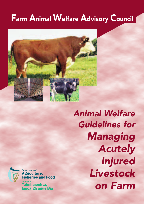# Farm Animal Welfare Advisory Council



*Animal Welfare Guidelines for Managing Acutely Injured Livestock on Farm*



Department of Agriculture, **Fisheries and Food** Talmhaíochta, lascaigh agus Bia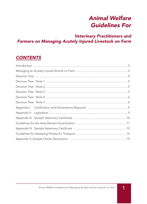# Animal Welfare Guidelines For

### Veterinary Practitioners and Farmers on Managing Acutely Injured Livestock on Farm

# **CONTENTS**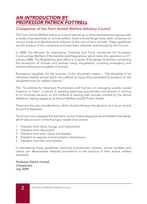# AN INTRODUCTION BY PROFESSOR PATRICK FOTTRELL

#### Chairperson of the Farm Animal Welfare Advisory Council

The Farm Animal Welfare Advisory Council was set up to allow representative groups with a variety of perspectives on animal welfare, meet and exchange views, seek consensus on various issues and developments relevant to the care of farm animals. These guidelines are the product of this consensus and have been adopted unanimously by the Council.

In 2008, the Minister for Agriculture, Fisheries and Food introduced the European Communities (Welfare of Farmed Animals) Regulations, which came into operation on  $31st$ January 2008. The Regulations give effect to a series of European Directives concerning the protection of animals and animals being slaughtered, including emergency and humane killing and slaughter of animals.

Emergency slaughter, for the purpose of this document means – "the slaughter of an otherwise healthy animal which has suffered an injury that prevented its transport to the slaughterhouse for welfare reasons".

The "Guidelines for Veterinary Practitioners and Farmers on managing acutely injured livestock on Farm" is aimed at assisting veterinary practitioners and farmers in arriving at an informed decision on the method of dealing with animals covered by the above definition, having regard to (a) Animal Welfare and (b) Public Health.

These are the only considerations, which should influence the decision on how an animal should be disposed.

The Council has adopted the best farm animal husbandry practices and welfare standards, which take account of the five basic needs of an animal:

- 1. Freedom from thirst, hunger and malnutrition
- 2. Freedom from discomfort
- 3. Freedom from pain, injury and disease
- 4. Freedom to express normal patterns of behaviour
- 5. Freedom from fear and distress

In maintaining these guidelines veterinary practitioners, farmers, animal handlers and others can demonstrate Ireland's prominence in the practice of farm animal welfare standards.

Professor Patrick Fottrell **Chairperson** July 2009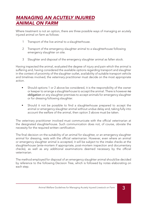# MANAGING AN ACUTELY INJURED ANIMAL ON FARM

Where treatment is not an option, there are three possible ways of managing an acutely injured animal on farm as follows:

- 1 Transport of the live animal to a slaughterhouse.
- 2 Transport of the emergency slaughter animal to a slaughterhouse following emergency slaughter on site.
- 3 Slaughter and disposal of the emergency slaughter animal as fallen stock.

Having inspected the animal, evaluated the degree of injury and pain which the animal is suffering and, having considered the available options regarding transport and slaughter in the context of proximity of the slaughter outlet, availability of suitable transport vehicle and timelines involved, the veterinary practitioner must decide on the most appropriate action.

- Should options 1 or 2 above be considered, it is the responsibility of the owner or keeper to arrange a slaughterhouse to accept the animal. There is however no obligation on any slaughter premises to accept animals for emergency slaughter or for dressing following slaughter.
- Should it not be possible to find a slaughterhouse prepared to accept the animal or emergency slaughter animal without undue delay and, taking fully into account the welfare of the animal, then option 3 above must be taken.

The veterinary practitioner involved must communicate with the official veterinarian at the designated slaughterhouse. Such communication does not, of course, obviate the necessity for the required written certification.

The final decision on the suitability of an animal for slaughter, or an emergency slaughter animal for dressing, rests with the official veterinarian. However, even where an animal or emergency slaughter animal is accepted, it will be subject to the intake checks at the slaughterhouse (ante-mortem if appropriate, post-mortem inspection and documentary checks), as well as any additional examinations deemed necessary by the official veterinarian.

The method employed for disposal of an emergency slaughter animal should be decided by reference to the following Decision Tree, which is followed by notes elaborating on each step.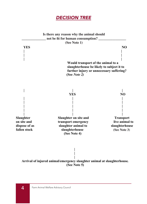# DECISION TREE

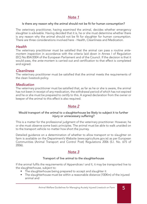#### Note 1

#### Is there any reason why the animal should not be fit for human consumption?

The veterinary practitioner, having examined the animal, decides whether emergency slaughter is advisable. Having decided that it is, he or she must determine whether there is any reason why the animal should not be fit for slaughter for human consumption. There are three considerations involved here - Health, Cleanliness and Medication.

#### Health

The veterinary practitioner must be satisfied that the animal can pass a routine antemortem inspection in accordance with the criteria laid down in Annex I of Regulation (EC) No 854/2004 of the European Parliament and of the Council. If the decision is that it would pass, the ante-mortem is carried out and certification to that effect is completed and signed.

#### **Cleanliness**

The veterinary practitioner must be satisfied that the animal meets the requirements of the clean livestock policy.

#### **Medication**

The veterinary practitioner must be satisfied that, as far as he or she is aware, the animal has not been in receipt of any medication, the withdrawal period of which has not expired and he or she must be prepared to certify to this. A signed declaration from the owner or keeper of the animal to this effect is also required.

#### Note 2

#### Would transport of the animal to a slaughterhouse be likely to subject it to further injury or unnecessary suffering?

This is a matter for the professional judgment of the veterinary practitioner. However, he or she must observe some basic principles. The animal must be able to walk unaided on to the transport vehicle no matter how short the journey.

Detailed guidance on a determination of whether to allow transport or to slaughter on farm is available on the Department's Website (www.agriculture.gov.ie) as per European Communities (Animal Transport and Control Post) Regulations 2006 (S.I. No. 675 of 2006).

#### Note 3

#### Transport of live animal to the slaughterhouse

If the animal fulfils the requirements of Appendices I and II, it may be transported live to the slaughterhouse, subject to:

- The slaughterhouse being prepared to accept and slaughter it
- The slaughterhouse must be within a reasonable distance (100Km) of the injured animal and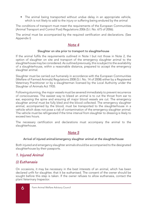• The animal being transported without undue delay in an appropriate vehicle, which is not likely to add to the injury or suffering being endured by the animal

The conditions of transport must meet the requirements of the European Communities (Animal Transport and Control Post) Regulations 2006 (S.I. No. 675 of 2006).

The animal must be accompanied by the required certification and declarations. (See Appendix I)

#### Note 4

#### Slaughter on site prior to transport to slaughterhouse

If the animal fulfils the requirements outlined in Note I but not those in Note 2, the option of slaughter on site and transport of the emergency slaughter animal to the slaughterhouse may be considered. As outlined previously, this is subject to the availability of a slaughterhouse, within a reasonable distance, prepared to accept the emergency slaughter animal.

Slaughter must be carried out humanely in accordance with the European Communities (Welfare of Farmed Animals) Regulations 2008 (S.I. No. 14 of 2008) either by a Registered Veterinary Practitioner or by a slaughterman licensed by the Local Authority under the Slaughter of Animals Act 1935.

Following stunning, the major vessels must be severed immediately to prevent recurrence of consciousness. The easiest way to bleed an animal is to cut the throat from ear to ear, exposing the spine and ensuring all major blood vessels are cut. The emergency slaughter animal must be fully bled and the blood collected. The emergency slaughter animal, accompanied by the blood, must be transported to the slaughterhouse in a vehicle which does not pose a risk of contamination of the emergency slaughter animal. The vehicle must be refrigerated if the time interval from slaughter to dressing is likely to exceed two hours.

The necessary certification and declarations must accompany the animal to the slaughterhouse.

### Note 5

#### Arrival of injured animal/emergency slaughter animal at the slaughterhouse

Both injured and emergency slaughter animals should be accompanied to the designated slaughterhouse by their passports.

#### 1. Injured Animal

#### (i) Euthanasia

On occasions, it may be necessary in the best interests of an animal, which has been declared unfit for slaughter, that it be euthanised. The consent of the owner should be sought before this step is taken. If the owner refuses to allow euthanasia, contact the plant Veterinary Inspector.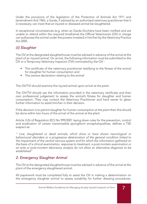Under the provisions of the legislation of the Protection of Animals Act 1911 and (amendment Act) 1965, a Garda, if advised by an authorised veterinary practitioner that it is necessary, can insist that an injured or diseased animal be slaughtered.

In exceptional circumstances (e.g. when an Garda Síochána have been notified and are unable to attend within the required timeframe) the Official Veterinarian (OV) in charge can euthanase the animal under the powers invested in him/her by the Veterinary Practice  $Act$  2005

#### (ii) Slaughter

The OV at the designated slaughterhouse must be advised in advance of the arrival at the plant of an injured animal. On arrival, the following information must be submitted to the OV or a Temporary Veterinary Inspector (TVI) nominated by the OV: -

- The certificate of the veterinary practitioner testifying to the fitness of the animal for slaughter for human consumption and
- The owners declaration relating to the animal

The OV/TVI should examine the injured animal upon arrival at the plant.

The OV/TVI should use the information provided in the veterinary certificate and their own professional judgement to assess the animal's fitness for slaughter and human consumption. They may contact the Veterinary Practitioner and herd owner to glean further information to assist him/her in their decision.

If the decision is to permit slaughter for human consumption at the plant then this should be done within two hours of the arrival of the animal at the plant.

Article 3 (h) of Regulation (EC) No 999/2001 laying down rules for the prevention, control and eradication of certain transmissible spongiform encephalopathies, defines a TSE suspect as:

" Live, slaughtered or dead animals, which show or have shown neurological or behavioural disorders or a progressive deterioration of the general condition linked to the impairment of the central nervous system and for which the information gathered on the basis of a clinical examination, response to treatment, a post-mortem examination or an ante or post-mortem laboratory analysis do not allow an alternative diagnosis to be established"

### *2. Emergency Slaughter Animal*

The OV at the designated slaughterhouse must be advised in advance of the arrival at the plant of the emergency slaughtered animal.

All paperwork must be completed fully to assist the OV in making a determination on the emergency slaughter animal to assess suitability for further dressing procedures.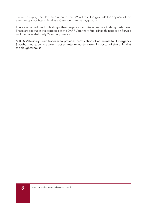Failure to supply the documentation to the OV will result in grounds for disposal of the emergency slaughter animal as a Category 1 animal by-product.

There are procedures for dealing with emergency slaughtered animals in slaughterhouses. These are set out in the protocols of the DAFF Veterinary Public Health Inspection Service and the Local Authority Veterinary Service.

N.B. A Veterinary Practitioner who provides certification of an animal for Emergency Slaughter must, on no account, act as ante- or post-mortem inspector of that animal at the slaughterhouse.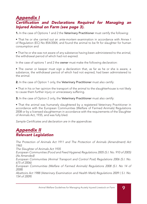### Appendix I Certification and Declarations Required for Managing an Injured Animal on Farm (see page 3).

1. In the case of Options 1 and 2 the Veterinary Practitioner must certify the following:

• That he or she carried out an *ante-mortem* examination in accordance with Annex I of Regulation (EC) No 854/2004, and found the animal to be fit for slaughter for human consumption and

• That he or she was not aware of any substance having been administered to the animal, the withdrawal period of which had not expired.

In the case of options 1 and 2 the **owner** must make the following declaration:

• The owner or keeper must sign a declaration that, as far as he or she is aware, a substance, the withdrawal period of which had not expired, had been administered to the animal.

2. In the case of Option 1 only, the Veterinary Practitioner must also certify:

• That in his or her opinion the transport of the animal to the slaughterhouse is not likely to cause them further injury or unnecessary suffering.

**3.** In the case of Option 2 only, the **Veterinary Practitioner** must also certify:

• That the animal was humanely slaughtered by a registered Veterinary Practitioner in accordance with the European Communities (Welfare of Farmed Animals) Regulations 2008 or by a licensed slaughterman in accordance with the requirements of the Slaughter of Animals Act, 1935, and was fully bled.

Sample Certificates and declaration are in the appendices

### Appendix II Relevant Legislation

The Protection of Animals Act 1911 and The Protection of Animals (Amendment) Act 1965 The Slaughter of Animals Act 1935 European Communities (Food and Feed Hygiene) Regulations 2005 (S.I. No. 910 of 2005) (As Amended) European Communities (Animal Transport and Control Post) Regulations 2006 (S.I. No. 675 of 2006) European Communities (Welfare of Farmed Animals) Regulations 2008 (S.I. No 14 of 2008) Abattoirs Act 1988 (Veterinary Examination and Health Mark) Regulations 2009 ( S.I. No. 154 of 2009)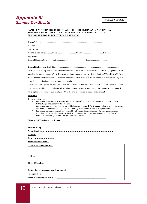### Appendix III Sample Certificate

#### **SAMPLE VETERINARY CERTIFICATE FOR A HEALTHY ANIMAL THAT HAS** <u>SUFFERED AN ACCIDENT THAT PREVENTED ITS TRANSPORT TO THE </u> **SLAUGHTERHOUSE FOR WELFARE REASONS. SUFFERED AN ACCIDENT THAT PREVENTED ITS TRANSPORT TO THE**

|  | Time and the contract of the contract of the contract of the contract of the contract of the contract of the contract of the contract of the contract of the contract of the contract of the contract of the contract of the c |
|--|--------------------------------------------------------------------------------------------------------------------------------------------------------------------------------------------------------------------------------|

#### **Clinical findings and disability** ............................................................................................................................

I wish to state, having carried out a clinical examination of the above described animal, that in my opinion it is not showing signs or symptoms of any disease or condition as per Annex 1 of Regulation 854/2004 which is likely to render its meat unfit for human consumption or to infect other animals in the slaughterhouse or to cause danger to health by contaminating the premises or meat therein.

I have not administered or authorised, nor am I aware of the authorisation and the administration of any medicament, antibiotic, chemotherapeutic or other substance whose withdrawal period has not been completed. I have explained the term *"withdrawal period*" to the owner or person in charge of the animal.

#### **Transport** have explained the term *"withdrawal period* " to the owner or person in charge of the animal.

1 hereby certify that **Transport**

- this animal is an otherwise healthy animal that has suffered an acute accident that prevents its transport to the slaughterhouse for welfare reasons.
	- to the statistical of weildle reasons.<br>
	this animal has been examined by me and is in my opinion **unfit for transport alive** to a slaughterhouse this animal has been examined by me and is in my opinion **unit for transport anve** to a staughterhouse<br>and that such transport is likely to cause further injury or unnecessary suffering to the animal.
	- this animal has been humanely slaughtered by a licensed slaughterman or veterinary practitioner in accordance with The Slaughter of Animals Act 1935 and the European Communities (Welfare of Farmed Animals) Regulations 2008 (S.I. No. 14 of 2008).

**Signature of Veterinary Practitioner: \_\_\_\_\_\_\_\_\_\_\_\_\_\_\_\_\_\_\_\_\_\_\_\_\_\_\_\_\_\_\_\_\_\_\_\_\_\_\_\_\_\_\_\_\_\_\_\_\_\_\_\_\_\_\_\_\_\_\_** Farmed Animals) Regulations 2008 (S.I. No. 14 of 2008).

| Practice Stamp                                                                                                                                                                                                                 |  |
|--------------------------------------------------------------------------------------------------------------------------------------------------------------------------------------------------------------------------------|--|
|                                                                                                                                                                                                                                |  |
|                                                                                                                                                                                                                                |  |
| <u>Date:</u>                                                                                                                                                                                                                   |  |
| <b>Slaughter of the Animal</b>                                                                                                                                                                                                 |  |
| Name of PVP/slaughterman                                                                                                                                                                                                       |  |
|                                                                                                                                                                                                                                |  |
| Address                                                                                                                                                                                                                        |  |
| <b>Time of Slaughter</b>                                                                                                                                                                                                       |  |
| Destination of emergency slaughter animal                                                                                                                                                                                      |  |
| (slaughterhouse) and the contract of the contract of the contract of the contract of the contract of the contract of the contract of the contract of the contract of the contract of the contract of the contract of the contr |  |
|                                                                                                                                                                                                                                |  |
|                                                                                                                                                                                                                                |  |

1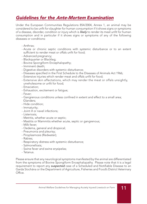# Guidelines for the Ante-Mortem Examination

Under the European Communities Regulations 854/2004, Annex 1, an animal may be considered to be unfit for slaughter for human consumption if it shows signs or symptoms of a disease, disorder, condition or injury which is *likely* to render its meat unfit for human consumption and in particular if it shows signs or symptoms of any of the following diseases or conditions:

- Anthrax;
- Acute or chronic septic conditions with systemic disturbance or to an extent sufficient to render meat or offals unfit for food;
- Advanced pregnancy;
- Blackquarter or Blackleg;
- Bovine Spongiform Encephalopathy;
- Imminent death;
- Digestive disorders with systemic disturbance;
- Diseases specified in the First Schedule to the Diseases of Animals Act 1966;
- Extensive injuries which render meat and offals unfit for food;
- Extensive skin affectations, which may render the meat or offals unsightly, unwholesome or unfit for food;
- Emaciation;
- Exhaustion, excitement or fatigue;
- Fever;
- Gangrenous conditions unless confined in extent and effect to a small area; Glanders;
- Hide condition;
- Immaturity;
- Joint ill or navel infections;
- Listeriosis;
- Metritis, whether acute or septic;
- Mastitis or Mammitis whether acute, septic or gangrenous;
- Milk fever;
- Oedema, general and dropsical;
- Pneumonia and pleurisy;
- Piroplasmosis (Redwater);
- Rabies;
- Respiratory distress with systemic disturbance;
- Salmonellosis;
- Swine fever and swine erysipelas;
- Tetanus.

Please ensure that any neurological symptoms manifested by the animal are differentiated from the symptoms of Bovine Spongiform Encephalopathy. Please note that it is a legal requirement to report any **suspected** case of a Scheduled and Notifiable Disease to an Garda Síochána or the Department of Agriculture, Fisheries and Food's District Veterinary Office.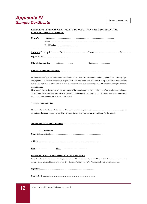# Appendix IV **Appendix III** Sample Certificate

#### <u>SAMPLE VETERINARY CERTIFICATE TO ACCOMPANY AN INJURED ANIMAL</u> **SAMPLE VETERINARY CERTIFICATE FOR A HEALTHY ANIMAL THAT HAS INTENDED FOR SLAUGHTER**

| Owner's |  |  |  |  |  |
|---------|--|--|--|--|--|
|         |  |  |  |  |  |
|         |  |  |  |  |  |
|         |  |  |  |  |  |

I wish to state, having carried out a clinical examination of the above described animal, that in my opinion it is not showing signs or symptoms of any disease or condition as per Annex 1 of Regulation 854/2004 which is likely to render its meat unfit for human consumption or to infect other animals in the slaughterhouse or to cause danger to health by contaminating the premises or meat therein.

I have not administered or authorised, nor am I aware of the authorisation and the administration of any medicament, antibiotic, chemotherapeutic or other substance whose withdrawal period has not been completed. I have explained the term "withdrawal *period* " to the owner or person in charge of the animal.

#### **Transport Authorisation** • this animal is an otherwise healthy animal that has suffered an acute accident that prevents its transport

• this animal has been examined by me and is in my opinion **unfit for transport alive** to a slaughterhouse and that such transport is likely to cause further injury or unnecessary suffering to the animal. • this animal has been humanely slaughtered by a licensed slaughterman or veterinary practitioner in I hereby authorise the transport of this animal to (state name of slaughterhouse)................................................................ as it is • this animal is an otherwise healthy animal that has suffered an acute accident that prevents its transport my opinion that such transport is not likely to cause further injury or unnecessary suffering for the animal.

| <b>Signature of Veterinary Practitioner.</b> |
|----------------------------------------------|
|----------------------------------------------|

**Practice Stamp…………………… Practice Stamp Name** (Block Letters)**……………………………………………………………………………………. Address : ……………………………………………………………………………………………….. Name** (Block Letters)...................................................................................................... **Name (Block Letters)**<br> **Name (Block Letters) Signature of Veterinary Practitioner: \_\_\_\_\_\_\_\_\_\_\_\_\_\_\_\_\_\_\_\_\_\_\_\_\_\_\_\_\_\_\_\_\_\_\_\_\_\_\_\_\_\_\_\_\_\_\_\_\_\_\_\_\_\_\_\_\_\_\_**

**Date : ………………………… Slaughter of the Animal Practice Stamp…………………… Address**.........................................................................................................................

**Name of PVP/slaughterman \_\_\_\_\_\_\_\_\_\_\_\_\_\_\_\_\_\_\_\_\_\_\_\_\_\_\_\_\_\_\_\_\_\_\_\_\_\_\_\_\_\_\_\_\_\_\_\_\_\_\_\_\_\_\_\_\_\_\_\_\_\_\_\_\_\_\_ Date**...................... **Time** ……………………………. **Address : ………………………………………………………………………………………………..**

### **Declaration by the Owner or Person in Charge of the Animal**

I wish to state, to the best of my knowledge and belief, that the above described animal has not been treated with any medicine whose withdrawal period has not been completed. The term "withdrawal period" has been adequately explained to me.

1

2

**Time of Slaughter \_\_\_\_\_\_\_\_\_\_\_\_\_\_\_\_\_\_\_\_\_\_ Destination of emergency slaughter animal\_\_\_\_\_\_\_\_\_\_\_\_\_\_\_\_\_\_\_\_\_\_\_\_\_\_\_\_\_\_\_\_\_\_\_\_\_\_\_** Signature.

**Destination of emergency slaughter animal\_\_\_\_\_\_\_\_\_\_\_\_\_\_\_\_\_\_\_\_\_\_\_\_\_\_\_\_\_\_\_\_\_\_\_\_\_\_\_ (slaughterhouse)\_\_\_\_\_\_\_\_\_\_\_\_\_\_\_\_\_\_\_\_\_\_\_\_\_\_\_\_\_\_\_\_\_\_\_\_\_\_\_\_\_\_ Name** (Block Letters)…………………………………………………………. **Address \_\_\_\_\_\_\_\_\_\_\_\_\_\_\_\_\_\_\_\_\_\_\_\_\_\_\_\_\_\_\_\_\_\_\_\_\_\_\_\_\_\_\_\_\_\_\_\_\_\_\_\_\_\_\_\_\_\_\_\_\_\_\_\_\_\_\_**  $\overline{\phantom{a}}$ **Signature of slaughterman/PVP: \_\_\_\_\_\_\_\_\_\_\_\_\_\_\_\_\_\_\_\_\_\_\_\_\_\_\_\_\_\_\_\_\_\_\_\_\_\_\_\_\_\_\_\_\_\_\_**

**Time of Slaughter \_\_\_\_\_\_\_\_\_\_\_\_\_\_\_\_\_\_\_\_\_\_**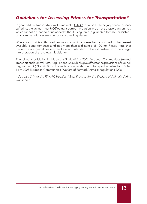# Guidelines for Assessing Fitness for Transportation\*

In general if the transportation of an animal is **LIKELY** to cause further injury or unnecessary suffering, the animal must  $NOT$  be transported. In particular do not transport any animal, which cannot be loaded or unloaded without using force (e.g. unable to walk unassisted), or any animal with severe wounds or protruding viscera.

Where transport is authorised, animals should in all cases be transported to the nearest available slaughterhouse (and not more than a distance of 100km). Please note that the above are guidelines only and are not intended to be exhaustive or to be a legal interpretation of the relevant legislation.

The relevant legislation in this area is SI No 675 of 2006 European Communities (Animal Transport and Control Post) Regulations 2006 which give effect to the provisions of Council Regulation (EC) No 1/2005 on the welfare of animals during transport in Ireland and SI No 14 of 2008 European Communities (Welfare of Farmed Animals) Regulations 2008.

\* See also 2.14 of the FAWAC booklet " Best Practice for the Welfare of Animals during Transport"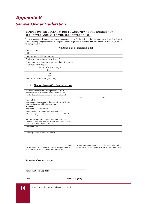# Appendix V Sample Owner Declaration **Appendix V**

#### **SAMPLE OWNER DECLARATION TO ACCOMPANY THE EMERGENCY SLAUGHTER ANIMAL TO THE SLAUGHTERHOUSE.**

of the emergency slaughter animal as a Category 1 animal by-product. Regulation 853/2004 Annex III, Section I, Chapter<br>M naraoranh 5 & 6 **Chapter VI, paragraph 5 & 6** Failure by the Owner/Keeper to complete the documentation in full for arrival at the slaughterhouse will result in disposal **Vi, paragraph 5 & 6**

| All Boxes must be completed in full              |  |  |
|--------------------------------------------------|--|--|
| Owner's name,                                    |  |  |
| address                                          |  |  |
| Herd number / Holding number                     |  |  |
| Production site address (if different)           |  |  |
| Contact name, telephone number and email address |  |  |
| of owner/owner's agent                           |  |  |
| Identity of Animal (tag no.)                     |  |  |
| breed                                            |  |  |
| age                                              |  |  |
| sex                                              |  |  |
| Nature of the accident (describe)                |  |  |

#### **A. Owner/Agent's Declaration**

| Record all veterinary medicinal products or other<br>treatments administered to the animal, within the last 6<br>months, dates of administration and withdrawal periods |     |                |
|-------------------------------------------------------------------------------------------------------------------------------------------------------------------------|-----|----------------|
|                                                                                                                                                                         | Yes | N <sub>0</sub> |
| <b>Tuberculosis</b><br>Is the animal a reactor or inconclusive reactor to the TB test?<br>Is the holding under a TB restriction order?                                  |     |                |
| <b>Brucellosis</b>                                                                                                                                                      |     |                |
| Is the animal a Brucellosis reactor?                                                                                                                                    |     |                |
| Is the holding under a Brucellosis restriction order?                                                                                                                   |     |                |
| Is the holding/area under restrictions for other animal health<br>or other reasons?                                                                                     |     |                |
| Have any analyses shown that the animal may have been<br>exposed to food-borne zoonoses or substances likely to result<br>in residues in meat? If yes, attach a copy.   |     |                |
| Is the animal clean                                                                                                                                                     |     |                |
|                                                                                                                                                                         |     |                |
| Status (e.g. owner, manager, stockman)                                                                                                                                  |     |                |

Leing the Owner/Keeper of the animal described above hereby declare that the animal has not, to my knowledge, been in receipt of any substance, the withdrawal period of which has not expired. The term 'withdrawal period' has been explained to me.

**Signature of Owner / Keeper**

**\_\_\_\_\_\_\_\_\_\_\_\_\_\_\_\_\_\_\_\_\_\_\_\_\_\_\_\_\_\_\_\_\_\_\_\_**

**Name in Block Capitals**

**Date Time** of signing

**\_\_\_\_\_\_\_\_\_\_\_\_\_\_\_\_\_\_\_\_\_\_\_\_\_\_\_\_\_\_\_\_\_\_\_\_\_\_\_\_\_\_\_\_\_\_\_\_\_\_\_\_\_**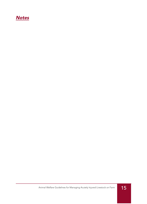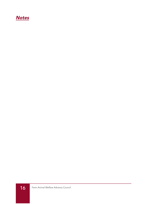